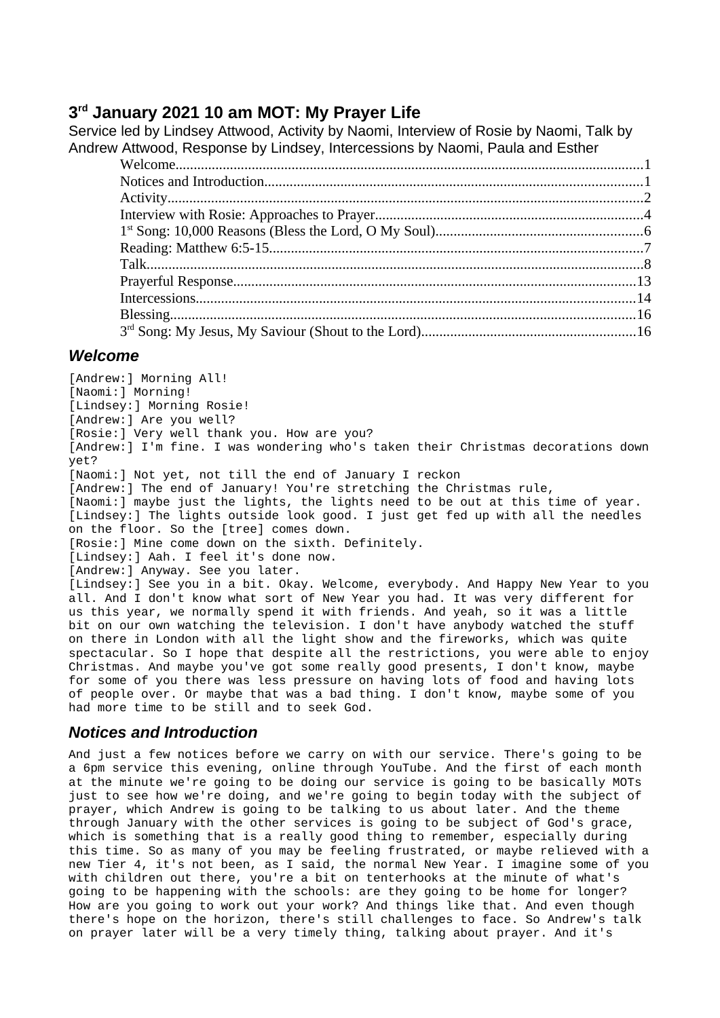# **3 rd January 2021 10 am MOT: My Prayer Life**

Service led by Lindsey Attwood, Activity by Naomi, Interview of Rosie by Naomi, Talk by Andrew Attwood, Response by Lindsey, Intercessions by Naomi, Paula and Esther

# <span id="page-0-1"></span>*Welcome*

[Andrew:] Morning All! [Naomi:] Morning! [Lindsey:] Morning Rosie! [Andrew:] Are you well? [Rosie:] Very well thank you. How are you? [Andrew:] I'm fine. I was wondering who's taken their Christmas decorations down yet? [Naomi:] Not yet, not till the end of January I reckon [Andrew:] The end of January! You're stretching the Christmas rule, [Naomi:] maybe just the lights, the lights need to be out at this time of year. [Lindsey:] The lights outside look good. I just get fed up with all the needles on the floor. So the [tree] comes down. [Rosie:] Mine come down on the sixth. Definitely. [Lindsey:] Aah. I feel it's done now. [Andrew:] Anyway. See you later. [Lindsey:] See you in a bit. Okay. Welcome, everybody. And Happy New Year to you all. And I don't know what sort of New Year you had. It was very different for us this year, we normally spend it with friends. And yeah, so it was a little bit on our own watching the television. I don't have anybody watched the stuff on there in London with all the light show and the fireworks, which was quite spectacular. So I hope that despite all the restrictions, you were able to enjoy Christmas. And maybe you've got some really good presents, I don't know, maybe for some of you there was less pressure on having lots of food and having lots of people over. Or maybe that was a bad thing. I don't know, maybe some of you had more time to be still and to seek God.

# <span id="page-0-0"></span>*Notices and Introduction*

And just a few notices before we carry on with our service. There's going to be a 6pm service this evening, online through YouTube. And the first of each month at the minute we're going to be doing our service is going to be basically MOTs just to see how we're doing, and we're going to begin today with the subject of prayer, which Andrew is going to be talking to us about later. And the theme through January with the other services is going to be subject of God's grace, which is something that is a really good thing to remember, especially during this time. So as many of you may be feeling frustrated, or maybe relieved with a new Tier 4, it's not been, as I said, the normal New Year. I imagine some of you with children out there, you're a bit on tenterhooks at the minute of what's going to be happening with the schools: are they going to be home for longer? How are you going to work out your work? And things like that. And even though there's hope on the horizon, there's still challenges to face. So Andrew's talk on prayer later will be a very timely thing, talking about prayer. And it's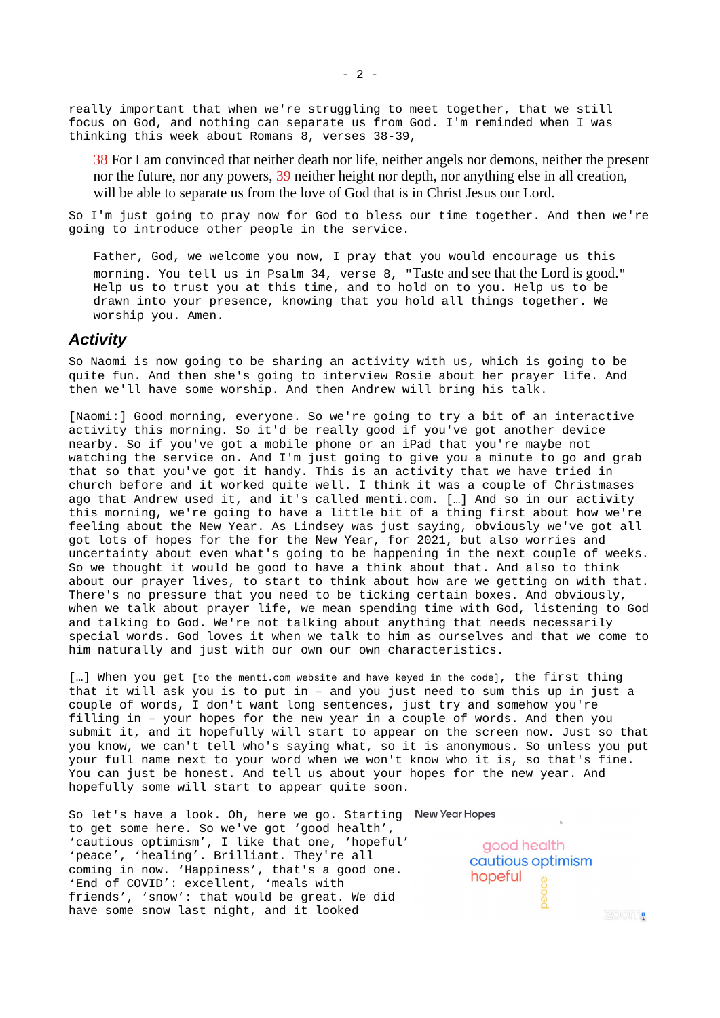really important that when we're struggling to meet together, that we still focus on God, and nothing can separate us from God. I'm reminded when I was thinking this week about Romans 8, verses 38-39,

38 For I am convinced that neither death nor life, neither angels nor demons, neither the present nor the future, nor any powers, 39 neither height nor depth, nor anything else in all creation, will be able to separate us from the love of God that is in Christ Jesus our Lord.

So I'm just going to pray now for God to bless our time together. And then we're going to introduce other people in the service.

Father, God, we welcome you now, I pray that you would encourage us this morning. You tell us in Psalm 34, verse 8, "Taste and see that the Lord is good." Help us to trust you at this time, and to hold on to you. Help us to be drawn into your presence, knowing that you hold all things together. We worship you. Amen.

## <span id="page-1-0"></span>*Activity*

So Naomi is now going to be sharing an activity with us, which is going to be quite fun. And then she's going to interview Rosie about her prayer life. And then we'll have some worship. And then Andrew will bring his talk.

[Naomi:] Good morning, everyone. So we're going to try a bit of an interactive activity this morning. So it'd be really good if you've got another device nearby. So if you've got a mobile phone or an iPad that you're maybe not watching the service on. And I'm just going to give you a minute to go and grab that so that you've got it handy. This is an activity that we have tried in church before and it worked quite well. I think it was a couple of Christmases ago that Andrew used it, and it's called menti.com. […] And so in our activity this morning, we're going to have a little bit of a thing first about how we're feeling about the New Year. As Lindsey was just saying, obviously we've got all got lots of hopes for the for the New Year, for 2021, but also worries and uncertainty about even what's going to be happening in the next couple of weeks. So we thought it would be good to have a think about that. And also to think about our prayer lives, to start to think about how are we getting on with that. There's no pressure that you need to be ticking certain boxes. And obviously, when we talk about prayer life, we mean spending time with God, listening to God and talking to God. We're not talking about anything that needs necessarily special words. God loves it when we talk to him as ourselves and that we come to him naturally and just with our own our own characteristics.

[...] When you get [to the menti.com website and have keyed in the code], the first thing that it will ask you is to put in – and you just need to sum this up in just a couple of words, I don't want long sentences, just try and somehow you're filling in – your hopes for the new year in a couple of words. And then you submit it, and it hopefully will start to appear on the screen now. Just so that you know, we can't tell who's saying what, so it is anonymous. So unless you put your full name next to your word when we won't know who it is, so that's fine. You can just be honest. And tell us about your hopes for the new year. And hopefully some will start to appear quite soon.

So let's have a look. Oh, here we go. Starting New Year Hopes to get some here. So we've got 'good health', 'cautious optimism', I like that one, 'hopeful' 'peace', 'healing'. Brilliant. They're all coming in now. 'Happiness', that's a good one. 'End of COVID': excellent, 'meals with friends', 'snow': that would be great. We did have some snow last night, and it looked

good health cautious optimism hopeful peace

**ZOOM!**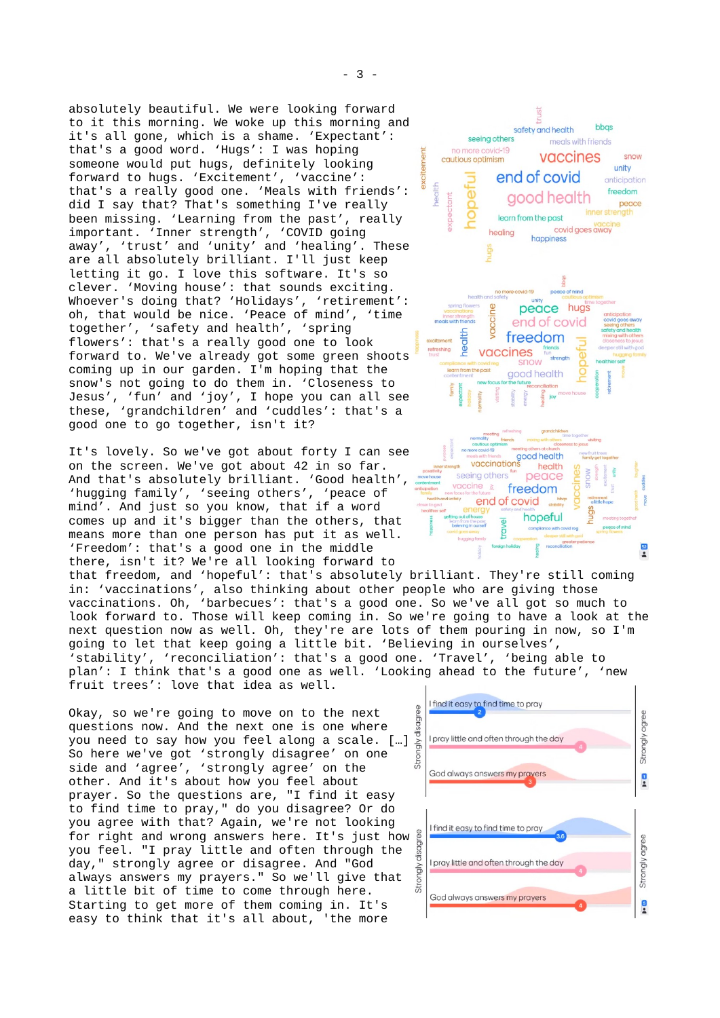absolutely beautiful. We were looking forward to it this morning. We woke up this morning and it's all gone, which is a shame. 'Expectant': that's a good word. 'Hugs': I was hoping someone would put hugs, definitely looking forward to hugs. 'Excitement', 'vaccine': that's a really good one. 'Meals with friends': did I say that? That's something I've really been missing. 'Learning from the past', really important. 'Inner strength', 'COVID going away', 'trust' and 'unity' and 'healing'. These are all absolutely brilliant. I'll just keep letting it go. I love this software. It's so clever. 'Moving house': that sounds exciting. Whoever's doing that? 'Holidays', 'retirement': oh, that would be nice. 'Peace of mind', 'time together', 'safety and health', 'spring flowers': that's a really good one to look forward to. We've already got some green shoots coming up in our garden. I'm hoping that the snow's not going to do them in. 'Closeness to Jesus', 'fun' and 'joy', I hope you can all see these, 'grandchildren' and 'cuddles': that's a good one to go together, isn't it?

It's lovely. So we've got about forty I can see on the screen. We've got about 42 in so far. And that's absolutely brilliant. 'Good health' 'hugging family', 'seeing others', 'peace of mind'. And just so you know, that if a word comes up and it's bigger than the others, that means more than one person has put it as well. 'Freedom': that's a good one in the middle there, isn't it? We're all looking forward to

that freedom, and 'hopeful': that's absolutely brilliant. They're still coming in: 'vaccinations', also thinking about other people who are giving those vaccinations. Oh, 'barbecues': that's a good one. So we've all got so much to look forward to. Those will keep coming in. So we're going to have a look at the next question now as well. Oh, they're are lots of them pouring in now, so I'm going to let that keep going a little bit. 'Believing in ourselves', 'stability', 'reconciliation': that's a good one. 'Travel', 'being able to plan': I think that's a good one as well. 'Looking ahead to the future', 'new fruit trees': love that idea as well.

Okay, so we're going to move on to the next questions now. And the next one is one where you need to say how you feel along a scale. […] So here we've got 'strongly disagree' on one side and 'agree', 'strongly agree' on the other. And it's about how you feel about prayer. So the questions are, "I find it easy to find time to pray," do you disagree? Or do you agree with that? Again, we're not looking for right and wrong answers here. It's just how you feel. "I pray little and often through the day," strongly agree or disagree. And "God always answers my prayers." So we'll give that a little bit of time to come through here. Starting to get more of them coming in. It's easy to think that it's all about, 'the more



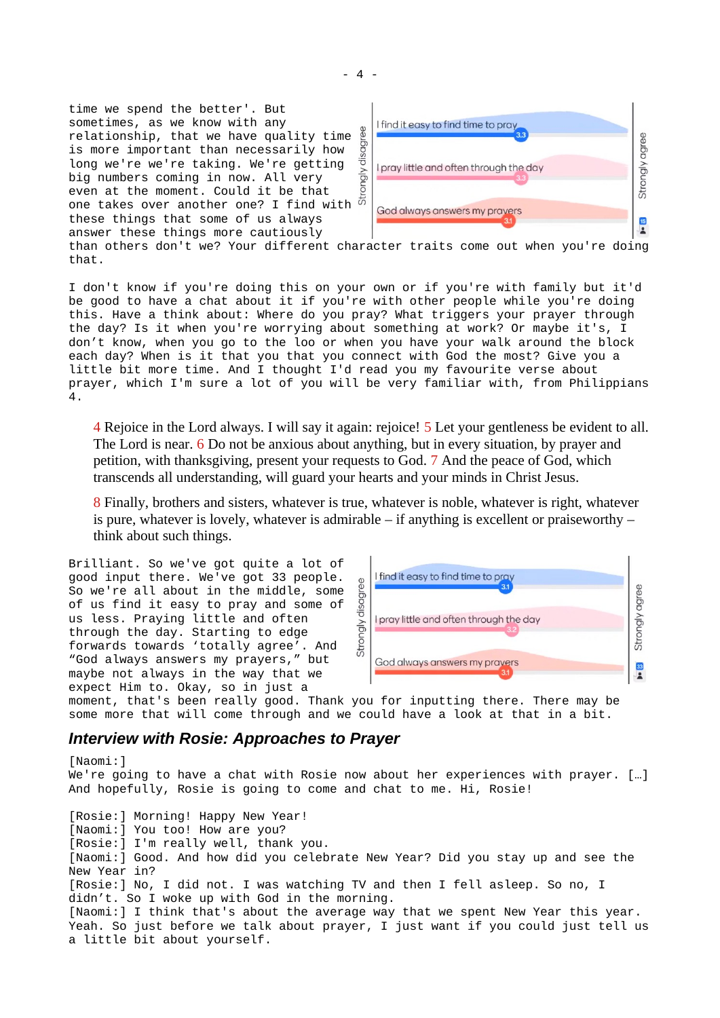time we spend the better'. But sometimes, as we know with any relationship, that we have quality time is more important than necessarily how long we're we're taking. We're getting big numbers coming in now. All very even at the moment. Could it be that one takes over another one? I find with  $\overline{b}$ these things that some of us always answer these things more cautiously



than others don't we? Your different character traits come out when you're doing that.

I don't know if you're doing this on your own or if you're with family but it'd be good to have a chat about it if you're with other people while you're doing this. Have a think about: Where do you pray? What triggers your prayer through the day? Is it when you're worrying about something at work? Or maybe it's, I don't know, when you go to the loo or when you have your walk around the block each day? When is it that you that you connect with God the most? Give you a little bit more time. And I thought I'd read you my favourite verse about prayer, which I'm sure a lot of you will be very familiar with, from Philippians 4.

4 Rejoice in the Lord always. I will say it again: rejoice! 5 Let your gentleness be evident to all. The Lord is near. 6 Do not be anxious about anything, but in every situation, by prayer and petition, with thanksgiving, present your requests to God. 7 And the peace of God, which transcends all understanding, will guard your hearts and your minds in Christ Jesus.

8 Finally, brothers and sisters, whatever is true, whatever is noble, whatever is right, whatever is pure, whatever is lovely, whatever is admirable  $-$  if anything is excellent or praiseworthy  $$ think about such things.

Brilliant. So we've got quite a lot of good input there. We've got 33 people. So we're all about in the middle, some of us find it easy to pray and some of us less. Praying little and often through the day. Starting to edge forwards towards 'totally agree'. And "God always answers my prayers," but maybe not always in the way that we expect Him to. Okay, so in just a



moment, that's been really good. Thank you for inputting there. There may be some more that will come through and we could have a look at that in a bit.

### <span id="page-3-0"></span>*Interview with Rosie: Approaches to Prayer*

[Naomi:] We're going to have a chat with Rosie now about her experiences with praver. […] And hopefully, Rosie is going to come and chat to me. Hi, Rosie!

[Rosie:] Morning! Happy New Year! [Naomi:] You too! How are you? [Rosie:] I'm really well, thank you. [Naomi:] Good. And how did you celebrate New Year? Did you stay up and see the New Year in? [Rosie:] No, I did not. I was watching TV and then I fell asleep. So no, I didn't. So I woke up with God in the morning. [Naomi:] I think that's about the average way that we spent New Year this year. Yeah. So just before we talk about prayer, I just want if you could just tell us a little bit about yourself.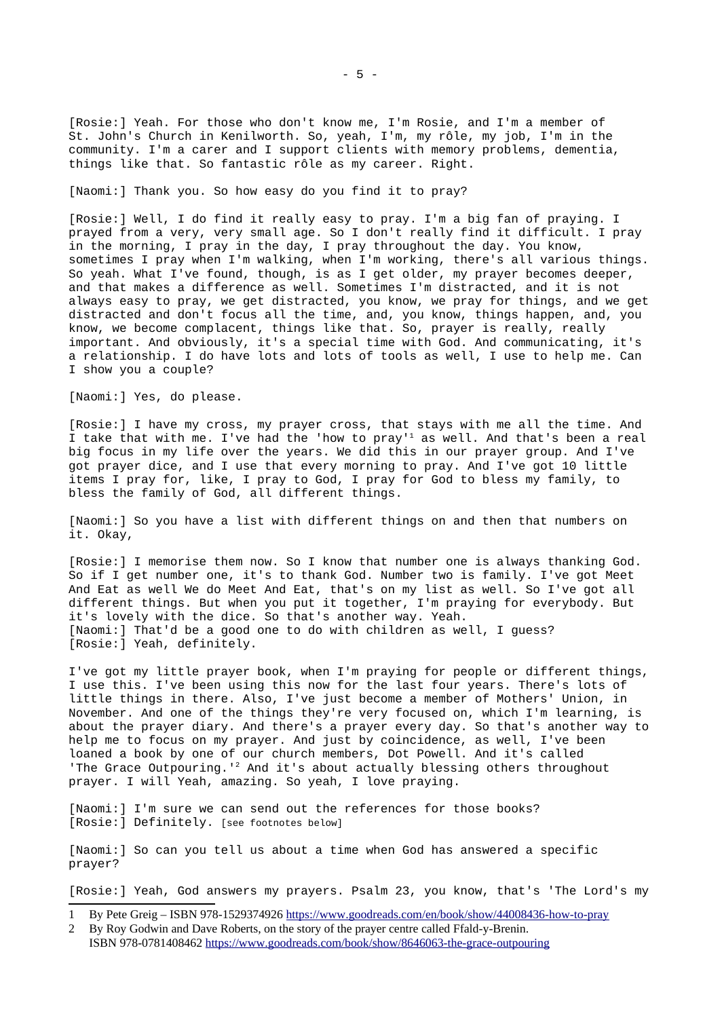[Rosie:] Yeah. For those who don't know me, I'm Rosie, and I'm a member of St. John's Church in Kenilworth. So, yeah, I'm, my rôle, my job, I'm in the community. I'm a carer and I support clients with memory problems, dementia, things like that. So fantastic rôle as my career. Right.

[Naomi:] Thank you. So how easy do you find it to pray?

[Rosie:] Well, I do find it really easy to pray. I'm a big fan of praying. I prayed from a very, very small age. So I don't really find it difficult. I pray in the morning, I pray in the day, I pray throughout the day. You know, sometimes I pray when I'm walking, when I'm working, there's all various things. So yeah. What I've found, though, is as I get older, my prayer becomes deeper, and that makes a difference as well. Sometimes I'm distracted, and it is not always easy to pray, we get distracted, you know, we pray for things, and we get distracted and don't focus all the time, and, you know, things happen, and, you know, we become complacent, things like that. So, prayer is really, really important. And obviously, it's a special time with God. And communicating, it's a relationship. I do have lots and lots of tools as well, I use to help me. Can I show you a couple?

[Naomi:] Yes, do please.

[Rosie:] I have my cross, my prayer cross, that stays with me all the time. And I take that with me. I've had the 'how to pray'[1](#page-4-0) as well. And that's been a real big focus in my life over the years. We did this in our prayer group. And I've got prayer dice, and I use that every morning to pray. And I've got 10 little items I pray for, like, I pray to God, I pray for God to bless my family, to bless the family of God, all different things.

[Naomi:] So you have a list with different things on and then that numbers on it. Okay,

[Rosie:] I memorise them now. So I know that number one is always thanking God. So if I get number one, it's to thank God. Number two is family. I've got Meet And Eat as well We do Meet And Eat, that's on my list as well. So I've got all different things. But when you put it together, I'm praying for everybody. But it's lovely with the dice. So that's another way. Yeah. [Naomi:] That'd be a good one to do with children as well, I guess? [Rosie:] Yeah, definitely.

I've got my little prayer book, when I'm praying for people or different things, I use this. I've been using this now for the last four years. There's lots of little things in there. Also, I've just become a member of Mothers' Union, in November. And one of the things they're very focused on, which I'm learning, is about the prayer diary. And there's a prayer every day. So that's another way to help me to focus on my prayer. And just by coincidence, as well, I've been loaned a book by one of our church members, Dot Powell. And it's called 'The Grace Outpouring.'<sup>[2](#page-4-1)</sup> And it's about actually blessing others throughout prayer. I will Yeah, amazing. So yeah, I love praying.

[Naomi:] I'm sure we can send out the references for those books? [Rosie:] Definitely. [see footnotes below]

[Naomi:] So can you tell us about a time when God has answered a specific prayer?

[Rosie:] Yeah, God answers my prayers. Psalm 23, you know, that's 'The Lord's my

<span id="page-4-0"></span><sup>1</sup> By Pete Greig – ISBN 978-1529374926<https://www.goodreads.com/en/book/show/44008436-how-to-pray>

<span id="page-4-1"></span><sup>2</sup> By Roy Godwin and Dave Roberts, on the story of the prayer centre called Ffald-y-Brenin. ISBN 978-0781408462 <https://www.goodreads.com/book/show/8646063-the-grace-outpouring>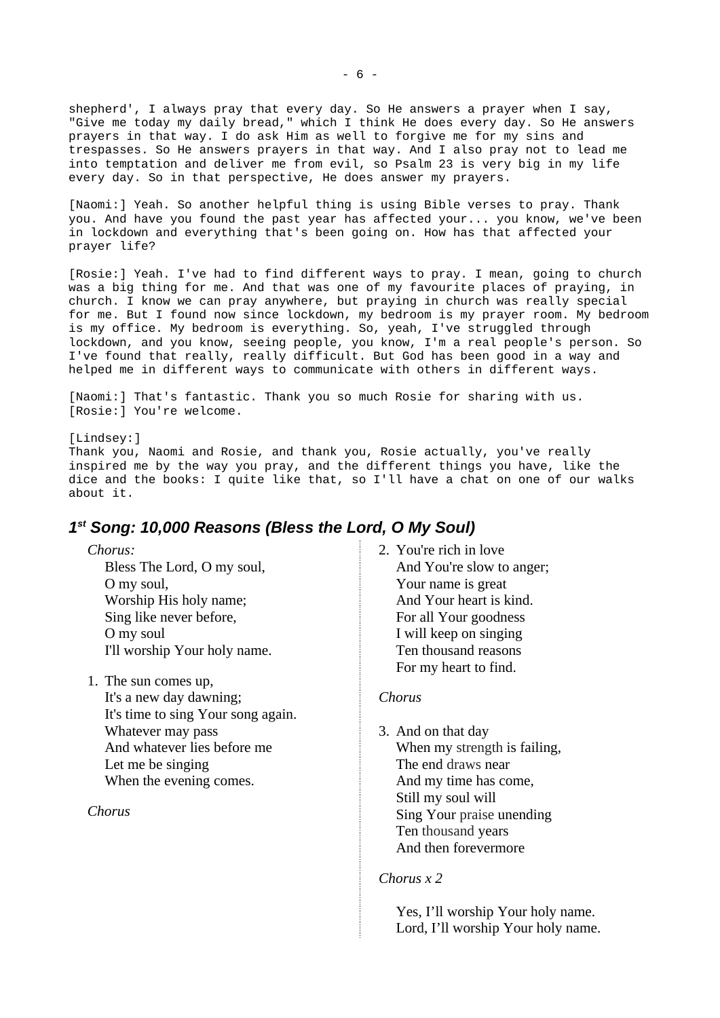shepherd', I always pray that every day. So He answers a prayer when I say, "Give me today my daily bread," which I think He does every day. So He answers prayers in that way. I do ask Him as well to forgive me for my sins and trespasses. So He answers prayers in that way. And I also pray not to lead me into temptation and deliver me from evil, so Psalm 23 is very big in my life every day. So in that perspective, He does answer my prayers.

[Naomi:] Yeah. So another helpful thing is using Bible verses to pray. Thank you. And have you found the past year has affected your... you know, we've been in lockdown and everything that's been going on. How has that affected your prayer life?

[Rosie:] Yeah. I've had to find different ways to pray. I mean, going to church was a big thing for me. And that was one of my favourite places of praying, in church. I know we can pray anywhere, but praying in church was really special for me. But I found now since lockdown, my bedroom is my prayer room. My bedroom is my office. My bedroom is everything. So, yeah, I've struggled through lockdown, and you know, seeing people, you know, I'm a real people's person. So I've found that really, really difficult. But God has been good in a way and helped me in different ways to communicate with others in different ways.

[Naomi:] That's fantastic. Thank you so much Rosie for sharing with us. [Rosie:] You're welcome.

[Lindsey:] Thank you, Naomi and Rosie, and thank you, Rosie actually, you've really inspired me by the way you pray, and the different things you have, like the dice and the books: I quite like that, so I'll have a chat on one of our walks about it.

# <span id="page-5-0"></span>*1 st Song: 10,000 Reasons (Bless the Lord, O My Soul)*

*Chorus:*

Bless The Lord, O my soul, O my soul, Worship His holy name; Sing like never before, O my soul I'll worship Your holy name.

1. The sun comes up,

It's a new day dawning; It's time to sing Your song again. Whatever may pass And whatever lies before me Let me be singing When the evening comes.

*Chorus*

2. You're rich in love And You're slow to anger; Your name is great And Your heart is kind. For all Your goodness I will keep on singing Ten thousand reasons For my heart to find.

## *Chorus*

3. And on that day When my [strength](https://www.definitions.net/definition/strength) is failing, The end [draws](https://www.definitions.net/definition/draws) near And my time has come, Still my soul will Sing Your [praise](https://www.definitions.net/definition/praise) unending Ten [thousand](https://www.definitions.net/definition/thousand) years And then forevermore

## *Chorus x 2*

Yes, I'll worship Your holy name. Lord, I'll worship Your holy name.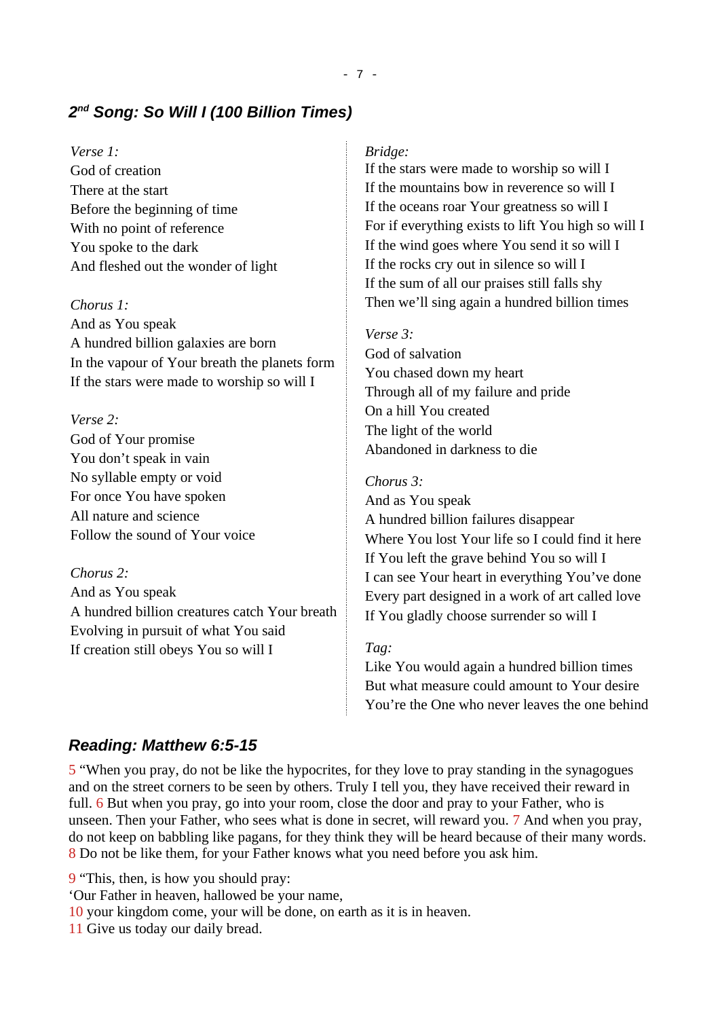# *2 nd Song: So Will I (100 Billion Times)*

### *Verse 1:*

God of creation There at the start Before the beginning of time With no point of reference You spoke to the dark And fleshed out the wonder of light

*Chorus 1:* And as You speak A hundred billion galaxies are born

In the vapour of Your breath the planets form If the stars were made to worship so will I

*Verse 2:* God of Your promise You don't speak in vain No syllable empty or void For once You have spoken All nature and science Follow the sound of Your voice

*Chorus 2:* And as You speak A hundred billion creatures catch Your breath Evolving in pursuit of what You said If creation still obeys You so will I

### *Bridge:*

If the stars were made to worship so will I If the mountains bow in reverence so will I If the oceans roar Your greatness so will I For if everything exists to lift You high so will I If the wind goes where You send it so will I If the rocks cry out in silence so will I If the sum of all our praises still falls shy Then we'll sing again a hundred billion times

## *Verse 3:*

God of salvation You chased down my heart Through all of my failure and pride On a hill You created The light of the world Abandoned in darkness to die

## *Chorus 3:*

And as You speak A hundred billion failures disappear Where You lost Your life so I could find it here If You left the grave behind You so will I I can see Your heart in everything You've done Every part designed in a work of art called love If You gladly choose surrender so will I

## *Tag:*

Like You would again a hundred billion times But what measure could amount to Your desire You're the One who never leaves the one behind

## <span id="page-6-0"></span>*Reading: Matthew 6:5-15*

5 "When you pray, do not be like the hypocrites, for they love to pray standing in the synagogues and on the street corners to be seen by others. Truly I tell you, they have received their reward in full. 6 But when you pray, go into your room, close the door and pray to your Father, who is unseen. Then your Father, who sees what is done in secret, will reward you. 7 And when you pray, do not keep on babbling like pagans, for they think they will be heard because of their many words. 8 Do not be like them, for your Father knows what you need before you ask him.

9 "This, then, is how you should pray:

- 'Our Father in heaven, hallowed be your name,
- 10 your kingdom come, your will be done, on earth as it is in heaven.
- 11 Give us today our daily bread.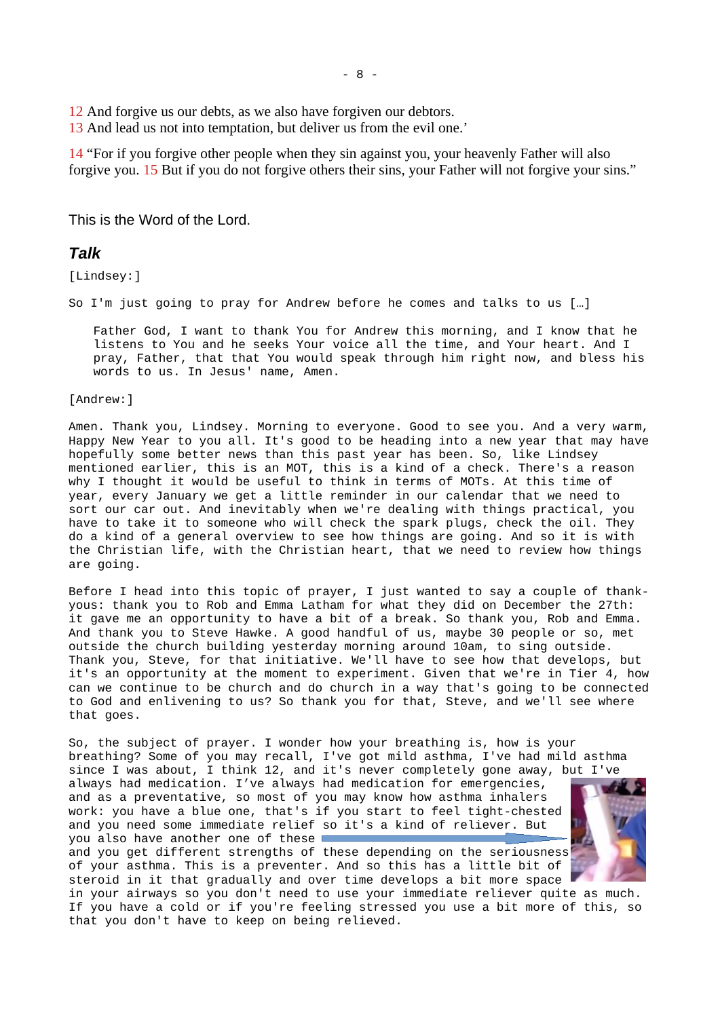- 8 -

12 And forgive us our debts, as we also have forgiven our debtors.

13 And lead us not into temptation, but deliver us from the evil one.'

14 "For if you forgive other people when they sin against you, your heavenly Father will also forgive you. 15 But if you do not forgive others their sins, your Father will not forgive your sins."

This is the Word of the Lord.

## <span id="page-7-0"></span>*Talk*

[Lindsey:]

So I'm just going to pray for Andrew before he comes and talks to us […]

Father God, I want to thank You for Andrew this morning, and I know that he listens to You and he seeks Your voice all the time, and Your heart. And I pray, Father, that that You would speak through him right now, and bless his words to us. In Jesus' name, Amen.

[Andrew:]

Amen. Thank you, Lindsey. Morning to everyone. Good to see you. And a very warm, Happy New Year to you all. It's good to be heading into a new year that may have hopefully some better news than this past year has been. So, like Lindsey mentioned earlier, this is an MOT, this is a kind of a check. There's a reason why I thought it would be useful to think in terms of MOTs. At this time of year, every January we get a little reminder in our calendar that we need to sort our car out. And inevitably when we're dealing with things practical, you have to take it to someone who will check the spark plugs, check the oil. They do a kind of a general overview to see how things are going. And so it is with the Christian life, with the Christian heart, that we need to review how things are going.

Before I head into this topic of prayer, I just wanted to say a couple of thankyous: thank you to Rob and Emma Latham for what they did on December the 27th: it gave me an opportunity to have a bit of a break. So thank you, Rob and Emma. And thank you to Steve Hawke. A good handful of us, maybe 30 people or so, met outside the church building yesterday morning around 10am, to sing outside. Thank you, Steve, for that initiative. We'll have to see how that develops, but it's an opportunity at the moment to experiment. Given that we're in Tier 4, how can we continue to be church and do church in a way that's going to be connected to God and enlivening to us? So thank you for that, Steve, and we'll see where that goes.

So, the subject of prayer. I wonder how your breathing is, how is your breathing? Some of you may recall, I've got mild asthma, I've had mild asthma since I was about, I think 12, and it's never completely gone away, but I've

always had medication. I've always had medication for emergencies, and as a preventative, so most of you may know how asthma inhalers work: you have a blue one, that's if you start to feel tight-chested and you need some immediate relief so it's a kind of reliever. But you also have another one of these

and you get different strengths of these depending on the seriousness of your asthma. This is a preventer. And so this has a little bit of steroid in it that gradually and over time develops a bit more space



in your airways so you don't need to use your immediate reliever quite as much. If you have a cold or if you're feeling stressed you use a bit more of this, so that you don't have to keep on being relieved.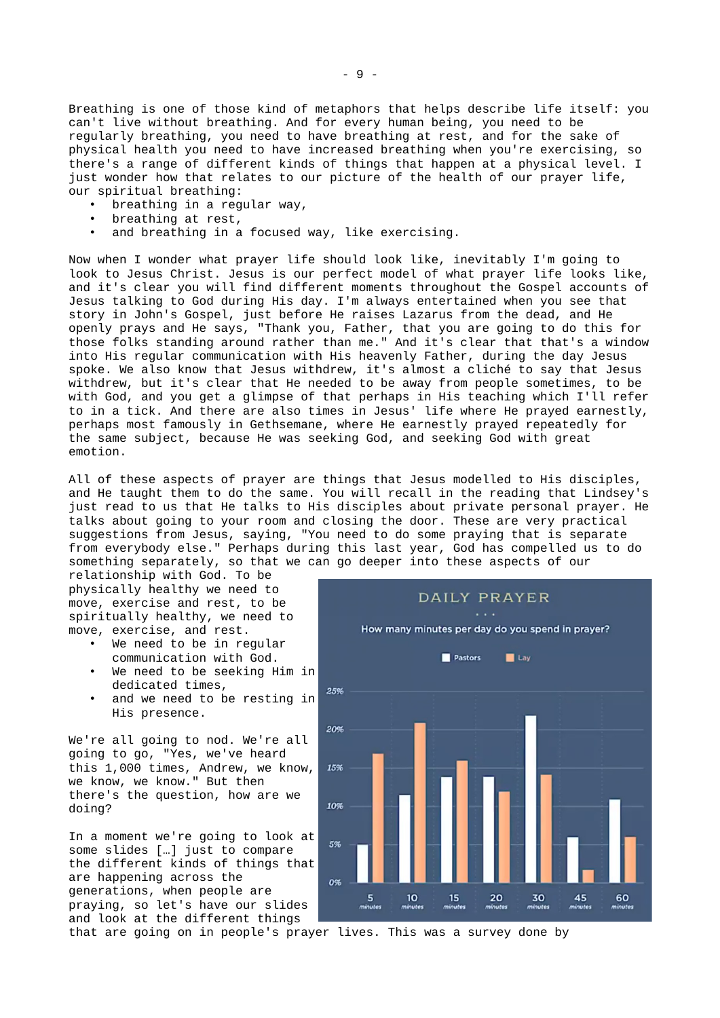Breathing is one of those kind of metaphors that helps describe life itself: you can't live without breathing. And for every human being, you need to be regularly breathing, you need to have breathing at rest, and for the sake of physical health you need to have increased breathing when you're exercising, so there's a range of different kinds of things that happen at a physical level. I just wonder how that relates to our picture of the health of our prayer life, our spiritual breathing:

- breathing in a regular way,
- breathing at rest,
- and breathing in a focused way, like exercising.

Now when I wonder what prayer life should look like, inevitably I'm going to look to Jesus Christ. Jesus is our perfect model of what prayer life looks like, and it's clear you will find different moments throughout the Gospel accounts of Jesus talking to God during His day. I'm always entertained when you see that story in John's Gospel, just before He raises Lazarus from the dead, and He openly prays and He says, "Thank you, Father, that you are going to do this for those folks standing around rather than me." And it's clear that that's a window into His regular communication with His heavenly Father, during the day Jesus spoke. We also know that Jesus withdrew, it's almost a cliché to say that Jesus withdrew, but it's clear that He needed to be away from people sometimes, to be with God, and you get a glimpse of that perhaps in His teaching which I'll refer to in a tick. And there are also times in Jesus' life where He prayed earnestly, perhaps most famously in Gethsemane, where He earnestly prayed repeatedly for the same subject, because He was seeking God, and seeking God with great emotion.

All of these aspects of prayer are things that Jesus modelled to His disciples, and He taught them to do the same. You will recall in the reading that Lindsey's just read to us that He talks to His disciples about private personal prayer. He talks about going to your room and closing the door. These are very practical suggestions from Jesus, saying, "You need to do some praying that is separate from everybody else." Perhaps during this last year, God has compelled us to do something separately, so that we can go deeper into these aspects of our

relationship with God. To be physically healthy we need to move, exercise and rest, to be spiritually healthy, we need to move, exercise, and rest.

- We need to be in regular communication with God.
- We need to be seeking Him in dedicated times,
- and we need to be resting in His presence.

We're all going to nod. We're all going to go, "Yes, we've heard this 1,000 times, Andrew, we know, we know, we know." But then there's the question, how are we doing?

In a moment we're going to look at some slides […] just to compare the different kinds of things that are happening across the generations, when people are praying, so let's have our slides and look at the different things



that are going on in people's prayer lives. This was a survey done by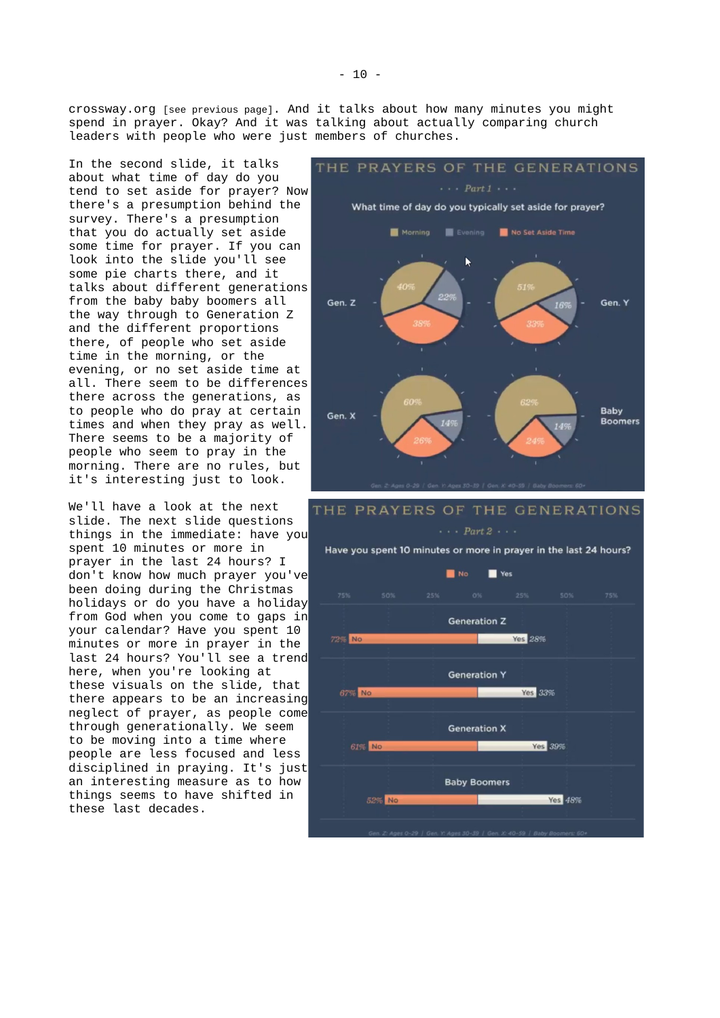- 10 -

crossway.org [see previous page]. And it talks about how many minutes you might spend in prayer. Okay? And it was talking about actually comparing church leaders with people who were just members of churches.

In the second slide, it talks about what time of day do you tend to set aside for prayer? Now there's a presumption behind the survey. There's a presumption that you do actually set aside some time for prayer. If you can look into the slide you'll see some pie charts there, and it talks about different generations from the baby baby boomers all the way through to Generation Z and the different proportions there, of people who set aside time in the morning, or the evening, or no set aside time at all. There seem to be differences there across the generations, as to people who do pray at certain times and when they pray as well. There seems to be a majority of people who seem to pray in the morning. There are no rules, but it's interesting just to look.

We'll have a look at the next slide. The next slide questions things in the immediate: have you spent 10 minutes or more in prayer in the last 24 hours? I don't know how much prayer you've been doing during the Christmas holidays or do you have a holiday from God when you come to gaps in your calendar? Have you spent 10 minutes or more in prayer in the last 24 hours? You'll see a trend here, when you're looking at these visuals on the slide, that there appears to be an increasing neglect of prayer, as people come through generationally. We seem to be moving into a time where people are less focused and less disciplined in praying. It's just an interesting measure as to how things seems to have shifted in these last decades.

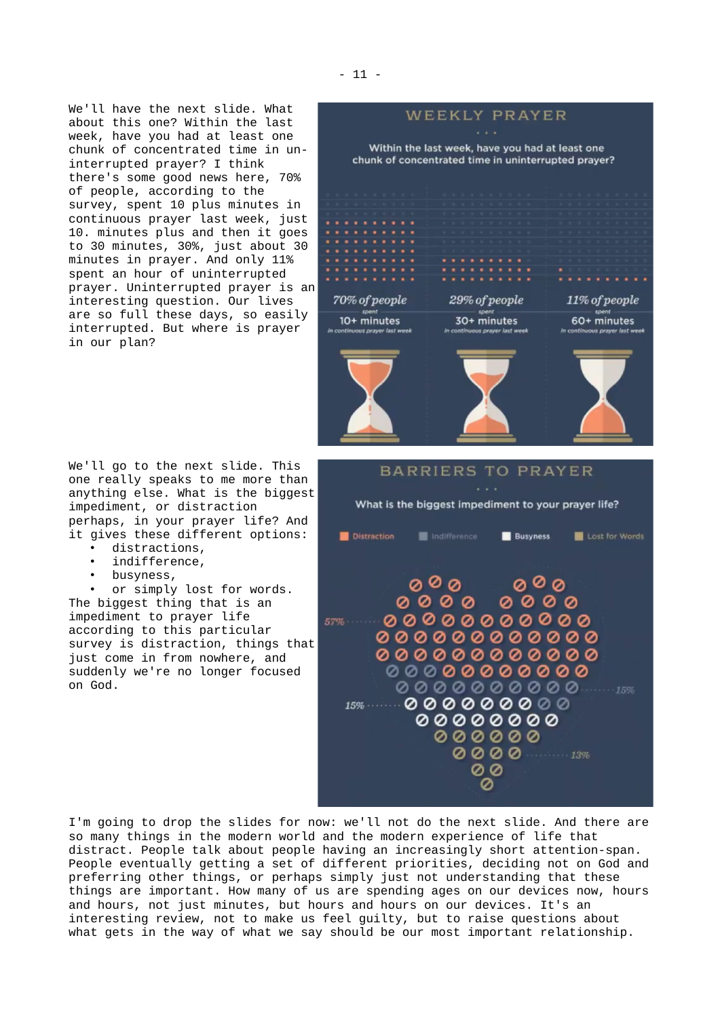We'll have the next slide. What about this one? Within the last week, have you had at least one chunk of concentrated time in uninterrupted prayer? I think there's some good news here, 70% of people, according to the survey, spent 10 plus minutes in continuous prayer last week, just 10. minutes plus and then it goes to 30 minutes, 30%, just about 30 minutes in prayer. And only 11% spent an hour of uninterrupted prayer. Uninterrupted prayer is an interesting question. Our lives are so full these days, so easily interrupted. But where is prayer in our plan?

We'll go to the next slide. This one really speaks to me more than anything else. What is the biggest impediment, or distraction perhaps, in your prayer life? And it gives these different options:

- distractions,
- indifference,
- busyness,

or simply lost for words. The biggest thing that is an impediment to prayer life according to this particular survey is distraction, things that just come in from nowhere, and suddenly we're no longer focused on God.



00000000 000000

> 00 Ø

0000 13%

I'm going to drop the slides for now: we'll not do the next slide. And there are so many things in the modern world and the modern experience of life that distract. People talk about people having an increasingly short attention-span. People eventually getting a set of different priorities, deciding not on God and preferring other things, or perhaps simply just not understanding that these things are important. How many of us are spending ages on our devices now, hours and hours, not just minutes, but hours and hours on our devices. It's an interesting review, not to make us feel guilty, but to raise questions about what gets in the way of what we say should be our most important relationship.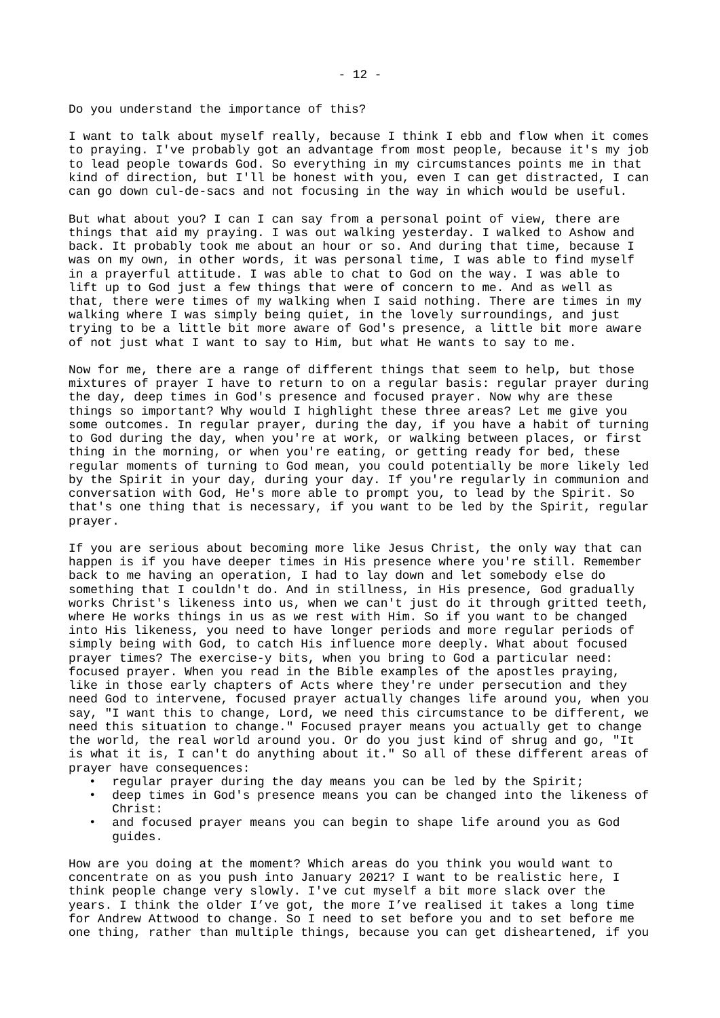I want to talk about myself really, because I think I ebb and flow when it comes to praying. I've probably got an advantage from most people, because it's my job to lead people towards God. So everything in my circumstances points me in that kind of direction, but I'll be honest with you, even I can get distracted, I can can go down cul-de-sacs and not focusing in the way in which would be useful.

But what about you? I can I can say from a personal point of view, there are things that aid my praying. I was out walking yesterday. I walked to Ashow and back. It probably took me about an hour or so. And during that time, because I was on my own, in other words, it was personal time, I was able to find myself in a prayerful attitude. I was able to chat to God on the way. I was able to lift up to God just a few things that were of concern to me. And as well as that, there were times of my walking when I said nothing. There are times in my walking where I was simply being quiet, in the lovely surroundings, and just trying to be a little bit more aware of God's presence, a little bit more aware of not just what I want to say to Him, but what He wants to say to me.

Now for me, there are a range of different things that seem to help, but those mixtures of prayer I have to return to on a regular basis: regular prayer during the day, deep times in God's presence and focused prayer. Now why are these things so important? Why would I highlight these three areas? Let me give you some outcomes. In regular prayer, during the day, if you have a habit of turning to God during the day, when you're at work, or walking between places, or first thing in the morning, or when you're eating, or getting ready for bed, these regular moments of turning to God mean, you could potentially be more likely led by the Spirit in your day, during your day. If you're regularly in communion and conversation with God, He's more able to prompt you, to lead by the Spirit. So that's one thing that is necessary, if you want to be led by the Spirit, regular prayer.

If you are serious about becoming more like Jesus Christ, the only way that can happen is if you have deeper times in His presence where you're still. Remember back to me having an operation, I had to lay down and let somebody else do something that I couldn't do. And in stillness, in His presence, God gradually works Christ's likeness into us, when we can't just do it through gritted teeth, where He works things in us as we rest with Him. So if you want to be changed into His likeness, you need to have longer periods and more regular periods of simply being with God, to catch His influence more deeply. What about focused prayer times? The exercise-y bits, when you bring to God a particular need: focused prayer. When you read in the Bible examples of the apostles praying, like in those early chapters of Acts where they're under persecution and they need God to intervene, focused prayer actually changes life around you, when you say, "I want this to change, Lord, we need this circumstance to be different, we need this situation to change." Focused prayer means you actually get to change the world, the real world around you. Or do you just kind of shrug and go, "It is what it is, I can't do anything about it." So all of these different areas of prayer have consequences:

- regular prayer during the day means you can be led by the Spirit;
- deep times in God's presence means you can be changed into the likeness of Christ:
- and focused prayer means you can begin to shape life around you as God guides.

How are you doing at the moment? Which areas do you think you would want to concentrate on as you push into January 2021? I want to be realistic here, I think people change very slowly. I've cut myself a bit more slack over the years. I think the older I've got, the more I've realised it takes a long time for Andrew Attwood to change. So I need to set before you and to set before me one thing, rather than multiple things, because you can get disheartened, if you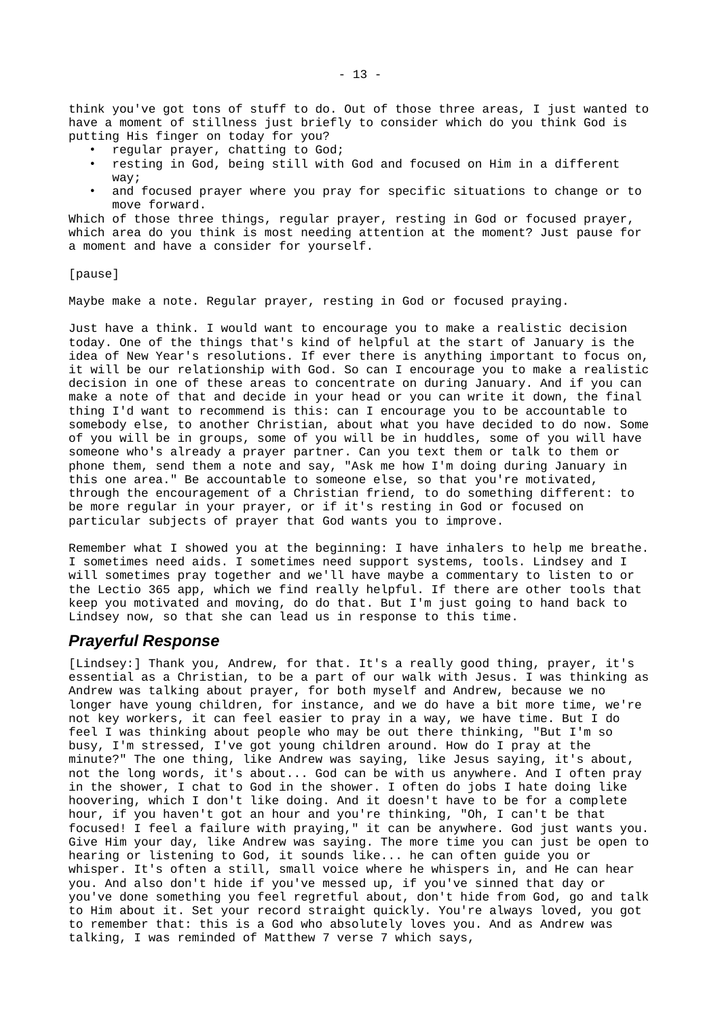think you've got tons of stuff to do. Out of those three areas, I just wanted to have a moment of stillness just briefly to consider which do you think God is putting His finger on today for you?

- regular prayer, chatting to God;
- resting in God, being still with God and focused on Him in a different way;
- and focused prayer where you pray for specific situations to change or to move forward.

Which of those three things, regular prayer, resting in God or focused prayer, which area do you think is most needing attention at the moment? Just pause for a moment and have a consider for yourself.

#### [pause]

Maybe make a note. Regular prayer, resting in God or focused praying.

Just have a think. I would want to encourage you to make a realistic decision today. One of the things that's kind of helpful at the start of January is the idea of New Year's resolutions. If ever there is anything important to focus on, it will be our relationship with God. So can I encourage you to make a realistic decision in one of these areas to concentrate on during January. And if you can make a note of that and decide in your head or you can write it down, the final thing I'd want to recommend is this: can I encourage you to be accountable to somebody else, to another Christian, about what you have decided to do now. Some of you will be in groups, some of you will be in huddles, some of you will have someone who's already a prayer partner. Can you text them or talk to them or phone them, send them a note and say, "Ask me how I'm doing during January in this one area." Be accountable to someone else, so that you're motivated, through the encouragement of a Christian friend, to do something different: to be more regular in your prayer, or if it's resting in God or focused on particular subjects of prayer that God wants you to improve.

Remember what I showed you at the beginning: I have inhalers to help me breathe. I sometimes need aids. I sometimes need support systems, tools. Lindsey and I will sometimes pray together and we'll have maybe a commentary to listen to or the Lectio 365 app, which we find really helpful. If there are other tools that keep you motivated and moving, do do that. But I'm just going to hand back to Lindsey now, so that she can lead us in response to this time.

## <span id="page-12-0"></span>*Prayerful Response*

[Lindsey:] Thank you, Andrew, for that. It's a really good thing, prayer, it's essential as a Christian, to be a part of our walk with Jesus. I was thinking as Andrew was talking about prayer, for both myself and Andrew, because we no longer have young children, for instance, and we do have a bit more time, we're not key workers, it can feel easier to pray in a way, we have time. But I do feel I was thinking about people who may be out there thinking, "But I'm so busy, I'm stressed, I've got young children around. How do I pray at the minute?" The one thing, like Andrew was saying, like Jesus saying, it's about, not the long words, it's about... God can be with us anywhere. And I often pray in the shower, I chat to God in the shower. I often do jobs I hate doing like hoovering, which I don't like doing. And it doesn't have to be for a complete hour, if you haven't got an hour and you're thinking, "Oh, I can't be that focused! I feel a failure with praying," it can be anywhere. God just wants you. Give Him your day, like Andrew was saying. The more time you can just be open to hearing or listening to God, it sounds like... he can often guide you or whisper. It's often a still, small voice where he whispers in, and He can hear you. And also don't hide if you've messed up, if you've sinned that day or you've done something you feel regretful about, don't hide from God, go and talk to Him about it. Set your record straight quickly. You're always loved, you got to remember that: this is a God who absolutely loves you. And as Andrew was talking, I was reminded of Matthew 7 verse 7 which says,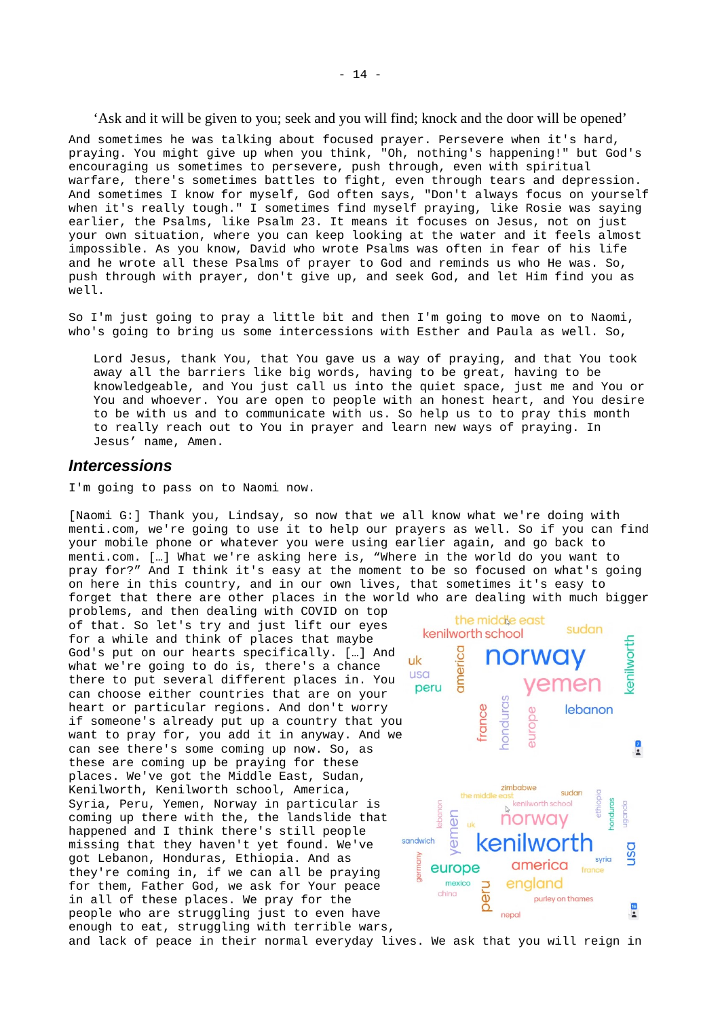'Ask and it will be given to you; seek and you will find; knock and the door will be opened'

And sometimes he was talking about focused prayer. Persevere when it's hard, praying. You might give up when you think, "Oh, nothing's happening!" but God's encouraging us sometimes to persevere, push through, even with spiritual warfare, there's sometimes battles to fight, even through tears and depression. And sometimes I know for myself, God often says, "Don't always focus on yourself when it's really tough." I sometimes find myself praying, like Rosie was saying earlier, the Psalms, like Psalm 23. It means it focuses on Jesus, not on just your own situation, where you can keep looking at the water and it feels almost impossible. As you know, David who wrote Psalms was often in fear of his life and he wrote all these Psalms of prayer to God and reminds us who He was. So, push through with prayer, don't give up, and seek God, and let Him find you as well.

So I'm just going to pray a little bit and then I'm going to move on to Naomi, who's going to bring us some intercessions with Esther and Paula as well. So,

Lord Jesus, thank You, that You gave us a way of praying, and that You took away all the barriers like big words, having to be great, having to be knowledgeable, and You just call us into the quiet space, just me and You or You and whoever. You are open to people with an honest heart, and You desire to be with us and to communicate with us. So help us to to pray this month to really reach out to You in prayer and learn new ways of praying. In Jesus' name, Amen.

#### <span id="page-13-0"></span>*Intercessions*

I'm going to pass on to Naomi now.

[Naomi G:] Thank you, Lindsay, so now that we all know what we're doing with menti.com, we're going to use it to help our prayers as well. So if you can find your mobile phone or whatever you were using earlier again, and go back to menti.com. […] What we're asking here is, "Where in the world do you want to pray for?" And I think it's easy at the moment to be so focused on what's going on here in this country, and in our own lives, that sometimes it's easy to forget that there are other places in the world who are dealing with much bigger

problems, and then dealing with COVID on top of that. So let's try and just lift our eyes for a while and think of places that maybe God's put on our hearts specifically. […] And what we're going to do is, there's a chance there to put several different places in. You can choose either countries that are on your heart or particular regions. And don't worry if someone's already put up a country that you want to pray for, you add it in anyway. And we can see there's some coming up now. So, as these are coming up be praying for these places. We've got the Middle East, Sudan, Kenilworth, Kenilworth school, America, Syria, Peru, Yemen, Norway in particular is coming up there with the, the landslide that happened and I think there's still people missing that they haven't yet found. We've got Lebanon, Honduras, Ethiopia. And as they're coming in, if we can all be praying for them, Father God, we ask for Your peace in all of these places. We pray for the people who are struggling just to even have enough to eat, struggling with terrible wars,



and lack of peace in their normal everyday lives. We ask that you will reign in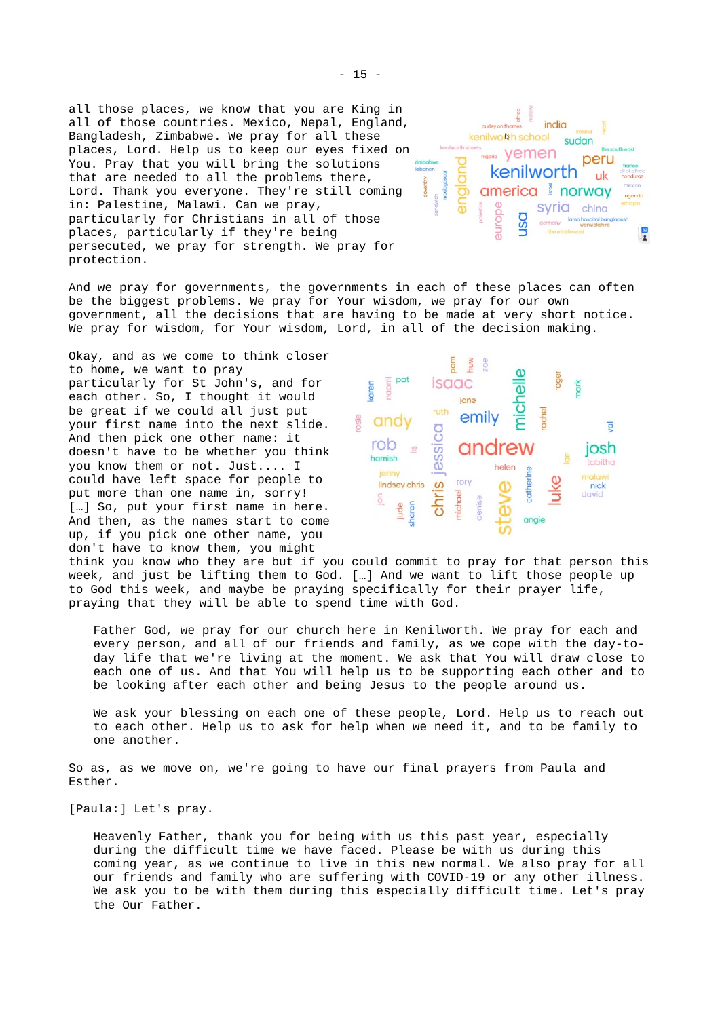all those places, we know that you are King in all of those countries. Mexico, Nepal, England, Bangladesh, Zimbabwe. We pray for all these places, Lord. Help us to keep our eyes fixed on You. Pray that you will bring the solutions that are needed to all the problems there, Lord. Thank you everyone. They're still coming in: Palestine, Malawi. Can we pray, particularly for Christians in all of those places, particularly if they're being persecuted, we pray for strength. We pray for protection.

And we pray for governments, the governments in each of these places can often be the biggest problems. We pray for Your wisdom, we pray for our own government, all the decisions that are having to be made at very short notice. We pray for wisdom, for Your wisdom, Lord, in all of the decision making.

Okay, and as we come to think closer to home, we want to pray particularly for St John's, and for each other. So, I thought it would be great if we could all just put your first name into the next slide. And then pick one other name: it doesn't have to be whether you think you know them or not. Just.... I could have left space for people to put more than one name in, sorry! […] So, put your first name in here. And then, as the names start to come up, if you pick one other name, you don't have to know them, you might

**ISOOC**  $\overline{a}$ emily andy ca rob essi andre hamish helen catherine jenny rory hris lindsey chris nick david S sharon

think you know who they are but if you could commit to pray for that person this week, and just be lifting them to God. […] And we want to lift those people up to God this week, and maybe be praying specifically for their prayer life, praying that they will be able to spend time with God.

Father God, we pray for our church here in Kenilworth. We pray for each and every person, and all of our friends and family, as we cope with the day-today life that we're living at the moment. We ask that You will draw close to each one of us. And that You will help us to be supporting each other and to be looking after each other and being Jesus to the people around us.

We ask your blessing on each one of these people, Lord. Help us to reach out to each other. Help us to ask for help when we need it, and to be family to one another.

So as, as we move on, we're going to have our final prayers from Paula and Esther.

[Paula:] Let's pray.

Heavenly Father, thank you for being with us this past year, especially during the difficult time we have faced. Please be with us during this coming year, as we continue to live in this new normal. We also pray for all our friends and family who are suffering with COVID-19 or any other illness. We ask you to be with them during this especially difficult time. Let's pray the Our Father.





india

Srae

syria

sudan

norway

ching

peru

uk

kenilwolth school

kenilw

ISO

america

adoune

land

engi

yemen